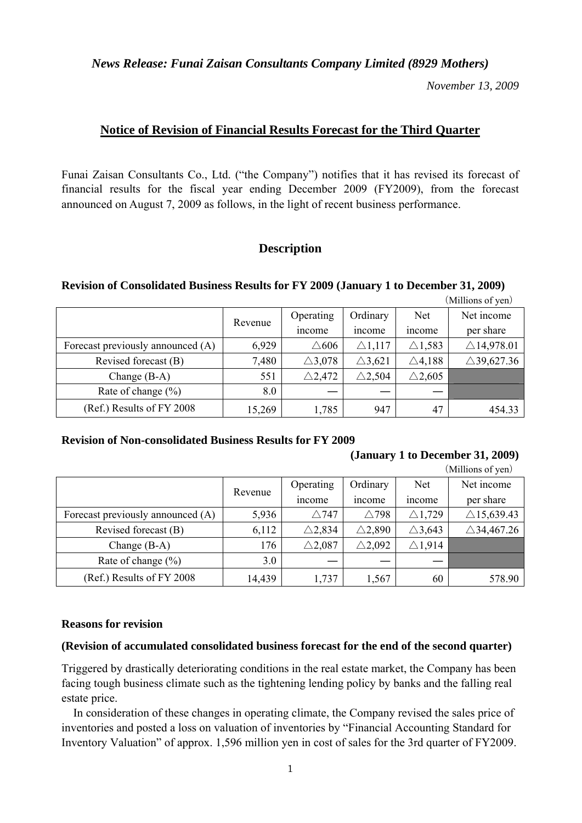*News Release: Funai Zaisan Consultants Company Limited (8929 Mothers)* 

*November 13, 2009* 

# **Notice of Revision of Financial Results Forecast for the Third Quarter**

Funai Zaisan Consultants Co., Ltd. ("the Company") notifies that it has revised its forecast of financial results for the fiscal year ending December 2009 (FY2009), from the forecast announced on August 7, 2009 as follows, in the light of recent business performance.

# **Description**

### **Revision of Consolidated Business Results for FY 2009 (January 1 to December 31, 2009)**

|                                   |         |                   |                   |                   | (Millions of yen)     |
|-----------------------------------|---------|-------------------|-------------------|-------------------|-----------------------|
|                                   | Revenue | Operating         | Ordinary          | Net               | Net income            |
|                                   |         | <i>n</i> come     | <i>ncome</i>      | <i>n</i> come     | per share             |
| Forecast previously announced (A) | 6,929   | $\triangle 606$   | $\triangle$ 1,117 | $\triangle$ 1,583 | $\triangle$ 14,978.01 |
| Revised forecast (B)              | 7,480   | $\triangle$ 3,078 | $\triangle$ 3,621 | $\triangle$ 4,188 | $\triangle$ 39,627.36 |
| Change $(B-A)$                    | 551     | $\triangle$ 2,472 | $\triangle$ 2,504 | $\triangle$ 2,605 |                       |
| Rate of change $(\% )$            | 8.0     |                   |                   |                   |                       |
| (Ref.) Results of FY 2008         | 15,269  | 1,785             | 947               | 47                | 454.33                |

# **Revision of Non-consolidated Business Results for FY 2009**

## **(January 1 to December 31, 2009)**

|                                   |         |                   |                   | диниону от уенд   |                       |
|-----------------------------------|---------|-------------------|-------------------|-------------------|-----------------------|
|                                   | Revenue | Operating         | Ordinary          | <b>Net</b>        | Net income            |
|                                   |         | <i>n</i> come     | income            | income            | per share             |
| Forecast previously announced (A) | 5,936   | $\triangle$ 747   | $\triangle$ 798   | $\triangle$ 1,729 | $\triangle$ 15,639.43 |
| Revised forecast (B)              | 6,112   | $\triangle$ 2,834 | $\triangle$ 2,890 | $\triangle$ 3,643 | $\triangle$ 34,467.26 |
| Change $(B-A)$                    | 176     | $\triangle$ 2,087 | $\triangle$ 2,092 | $\triangle$ 1,914 |                       |
| Rate of change $(\% )$            | 3.0     |                   |                   |                   |                       |
| (Ref.) Results of FY 2008         | 14,439  | 1,737             | 1,567             | 60                | 578.90                |

### $(Millions of you)$

### **Reasons for revision**

### **(Revision of accumulated consolidated business forecast for the end of the second quarter)**

Triggered by drastically deteriorating conditions in the real estate market, the Company has been facing tough business climate such as the tightening lending policy by banks and the falling real estate price.

In consideration of these changes in operating climate, the Company revised the sales price of inventories and posted a loss on valuation of inventories by "Financial Accounting Standard for Inventory Valuation" of approx. 1,596 million yen in cost of sales for the 3rd quarter of FY2009.